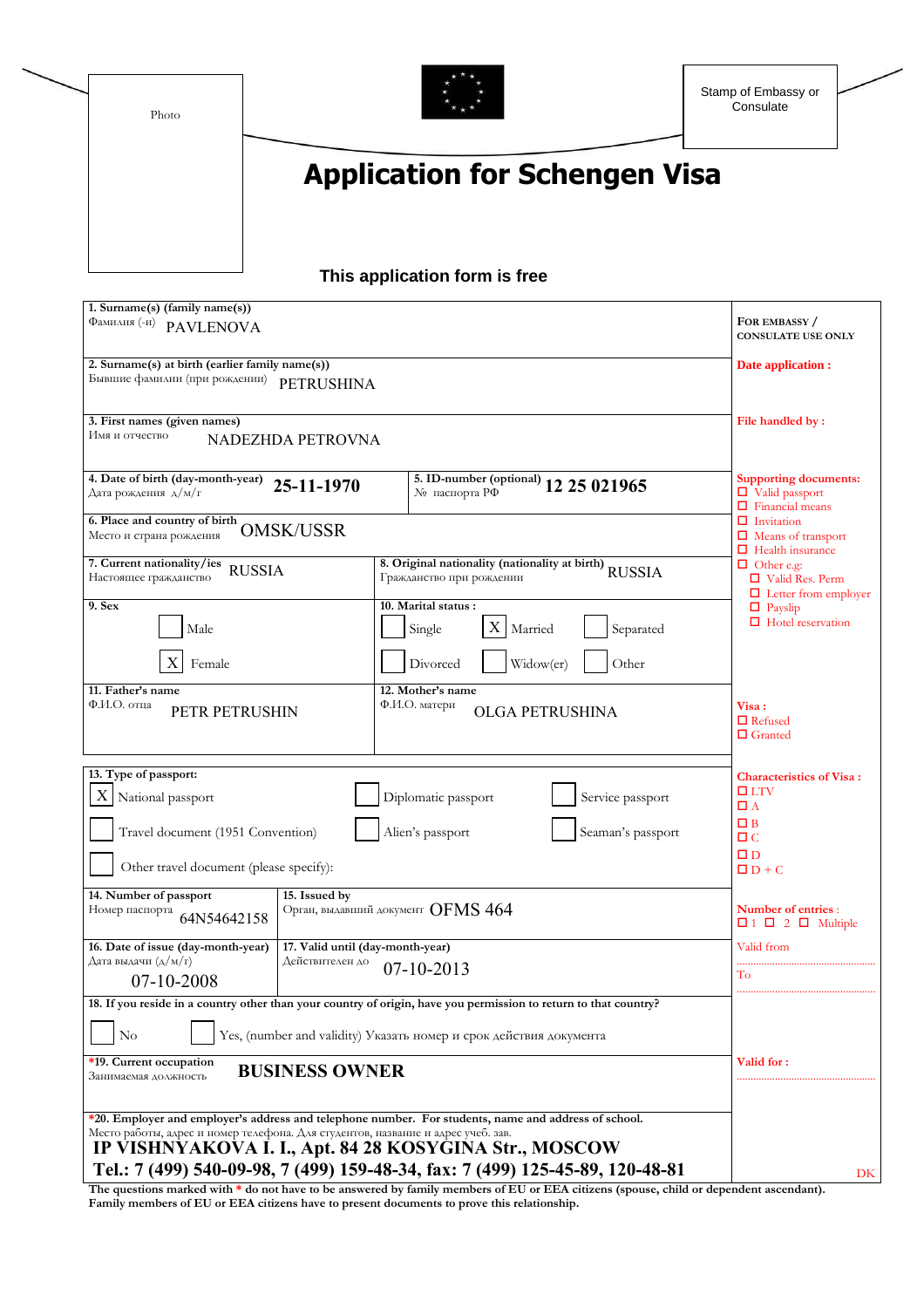Photo



## **Application for Schengen Visa**

## **This application form is free**

| 1. Surname(s) (family name(s))<br>Фамилия <sup>(-и)</sup> PAVLENOVA                                                                        | FOR EMBASSY /<br><b>CONSULATE USE ONLY</b>                                                       |                                                           |
|--------------------------------------------------------------------------------------------------------------------------------------------|--------------------------------------------------------------------------------------------------|-----------------------------------------------------------|
| 2. Surname(s) at birth (earlier family name(s))<br>Бывшие фамилии (при рождении)<br><b>PETRUSHINA</b>                                      | Date application :                                                                               |                                                           |
| 3. First names (given names)<br>Имя и отчество<br>NADEZHDA PETROVNA                                                                        | File handled by:                                                                                 |                                                           |
| 4. Date of birth (day-month-year)<br>25-11-1970<br>Дата рождения д/м/г                                                                     | <b>Supporting documents:</b><br>$\Box$ Valid passport<br>$\Box$ Financial means                  |                                                           |
| 6. Place and country of birth<br><b>OMSK/USSR</b><br>Место и страна рождения                                                               | $\Box$ Invitation<br>$\Box$ Means of transport                                                   |                                                           |
| 7. Current nationality/ies<br><b>RUSSIA</b><br>Настоящее гражданство                                                                       | $\Box$ Health insurance<br>$\Box$ Other e.g:<br>□ Valid Res. Perm<br>$\Box$ Letter from employer |                                                           |
| 9. Sex<br>Male                                                                                                                             | 10. Marital status:<br>X<br>Single<br>Married<br>Separated                                       | $\Box$ Payslip<br>$\Box$ Hotel reservation                |
| Female                                                                                                                                     | Divorced<br>Widow(er)<br>Other                                                                   |                                                           |
| 11. Father's name<br>Ф.И.О. отца<br>PETR PETRUSHIN                                                                                         | 12. Mother's name<br>Ф.И.О. матери<br><b>OLGA PETRUSHINA</b>                                     | Visa :<br>$\Box$ Refused<br>$\Box$ Granted                |
| 13. Type of passport:<br>X National passport                                                                                               | Diplomatic passport<br>Service passport                                                          | <b>Characteristics of Visa:</b><br>$\Box$ LTV<br>$\Box$ A |
| Travel document (1951 Convention)                                                                                                          | $\square$ B<br>$\Box$ $C$<br>$\square$ D                                                         |                                                           |
| Other travel document (please specify):<br>14. Number of passport<br>15. Issued by                                                         |                                                                                                  | $\Box$ D + C                                              |
| Орган, выдавший документ OFMS 464<br>Номер паспорта<br>64N54642158                                                                         | Number of entries :<br>$\Box$ 1 $\Box$ 2 $\Box$ Multiple                                         |                                                           |
| 16. Date of issue (day-month-year)<br>17. Valid until (day-month-year)<br>Дата выдачи (д/м/г)<br>Действителен до<br>07-10-2008             | Valid from<br>To                                                                                 |                                                           |
| 18. If you reside in a country other than your country of origin, have you permission to return to that country?                           |                                                                                                  |                                                           |
| No<br>Yes, (number and validity) Указать номер и срок действия документа                                                                   |                                                                                                  |                                                           |
| *19. Current occupation<br><b>BUSINESS OWNER</b><br>Занимаемая должность                                                                   | Valid for:                                                                                       |                                                           |
| *20. Employer and employer's address and telephone number. For students, name and address of school.                                       |                                                                                                  |                                                           |
| Место работы, адрес и номер телефона. Для студентов, название и адрес учеб. зав.<br>IP VISHNYAKOVA I. I., Apt. 84 28 KOSYGINA Str., MOSCOW |                                                                                                  |                                                           |
| Tel.: 7 (499) 540-09-98, 7 (499) 159-48-34, fax: 7 (499) 125-45-89, 120-48-81                                                              | DK                                                                                               |                                                           |

**The questions marked with \* do not have to be answered by family members of EU or EEA citizens (spouse, child or dependent ascendant). Family members of EU or EEA citizens have to present documents to prove this relationship.**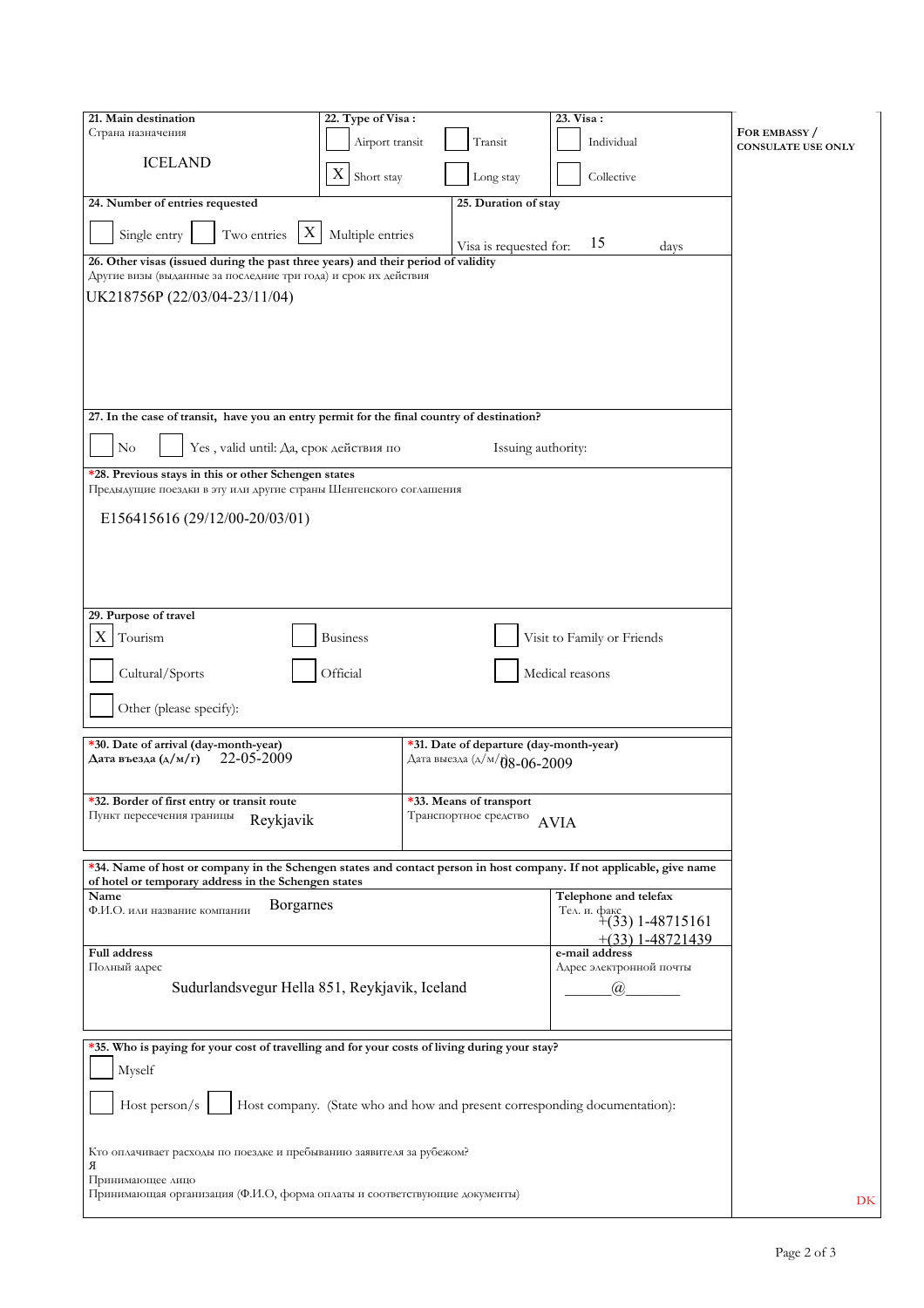| 21. Main destination                                                                                                                                                         | 22. Type of Visa: |                                         | 23. Visa:                                                                  |                           |
|------------------------------------------------------------------------------------------------------------------------------------------------------------------------------|-------------------|-----------------------------------------|----------------------------------------------------------------------------|---------------------------|
| Страна назначения                                                                                                                                                            | Airport transit   | Transit                                 | Individual                                                                 | FOR EMBASSY /             |
| <b>ICELAND</b>                                                                                                                                                               | X                 |                                         |                                                                            | <b>CONSULATE USE ONLY</b> |
|                                                                                                                                                                              | Short stay        | Long stay                               | Collective                                                                 |                           |
| 24. Number of entries requested                                                                                                                                              |                   | 25. Duration of stay                    |                                                                            |                           |
| X<br>Two entries<br>Single entry                                                                                                                                             | Multiple entries  | Visa is requested for:                  | 15<br>days                                                                 |                           |
| 26. Other visas (issued during the past three years) and their period of validity<br>Другие визы (выданные за последние три года) и срок их действия                         |                   |                                         |                                                                            |                           |
| UK218756P (22/03/04-23/11/04)                                                                                                                                                |                   |                                         |                                                                            |                           |
|                                                                                                                                                                              |                   |                                         |                                                                            |                           |
|                                                                                                                                                                              |                   |                                         |                                                                            |                           |
|                                                                                                                                                                              |                   |                                         |                                                                            |                           |
|                                                                                                                                                                              |                   |                                         |                                                                            |                           |
| 27. In the case of transit, have you an entry permit for the final country of destination?                                                                                   |                   |                                         |                                                                            |                           |
| N <sub>o</sub><br>Yes, valid until: Да, срок действия по                                                                                                                     |                   | Issuing authority:                      |                                                                            |                           |
| *28. Previous stays in this or other Schengen states<br>Предыдущие поездки в эту или другие страны Шенгенского соглашения                                                    |                   |                                         |                                                                            |                           |
| E156415616 (29/12/00-20/03/01)                                                                                                                                               |                   |                                         |                                                                            |                           |
|                                                                                                                                                                              |                   |                                         |                                                                            |                           |
|                                                                                                                                                                              |                   |                                         |                                                                            |                           |
|                                                                                                                                                                              |                   |                                         |                                                                            |                           |
| 29. Purpose of travel                                                                                                                                                        |                   |                                         |                                                                            |                           |
| X<br>Tourism                                                                                                                                                                 | <b>Business</b>   |                                         | Visit to Family or Friends                                                 |                           |
| Cultural/Sports                                                                                                                                                              | Official          |                                         | Medical reasons                                                            |                           |
|                                                                                                                                                                              |                   |                                         |                                                                            |                           |
| Other (please specify):                                                                                                                                                      |                   |                                         |                                                                            |                           |
| *30. Date of arrival (day-month-year)                                                                                                                                        |                   | *31. Date of departure (day-month-year) |                                                                            |                           |
| 22-05-2009<br>Дата въезда (д/м/г)                                                                                                                                            |                   | Дата выезда (д/м/ $\theta$ 8-06-2009    |                                                                            |                           |
| *32. Border of first entry or transit route                                                                                                                                  |                   | *33. Means of transport                 |                                                                            |                           |
| Пункт пересечения границы<br>Reykjavik                                                                                                                                       |                   | Транспортное средство                   | <b>AVIA</b>                                                                |                           |
|                                                                                                                                                                              |                   |                                         |                                                                            |                           |
| *34. Name of host or company in the Schengen states and contact person in host company. If not applicable, give name<br>of hotel or temporary address in the Schengen states |                   |                                         |                                                                            |                           |
| Name<br><b>Borgarnes</b><br>Ф.И.О. или название компании                                                                                                                     |                   |                                         | Telephone and telefax                                                      |                           |
|                                                                                                                                                                              |                   |                                         | Tea. H. $\phi$ akc<br>+(33) 1-48715161<br>$+(33)$ 1-48721439               |                           |
| Full address                                                                                                                                                                 |                   |                                         | e-mail address<br>Адрес электронной почты                                  |                           |
| Полный адрес<br>Sudurlandsvegur Hella 851, Reykjavik, Iceland                                                                                                                |                   |                                         |                                                                            |                           |
|                                                                                                                                                                              |                   |                                         | $\mathcal{D}_{\alpha}$                                                     |                           |
|                                                                                                                                                                              |                   |                                         |                                                                            |                           |
| *35. Who is paying for your cost of travelling and for your costs of living during your stay?<br>Myself                                                                      |                   |                                         |                                                                            |                           |
|                                                                                                                                                                              |                   |                                         |                                                                            |                           |
| Host person/ $s$                                                                                                                                                             |                   |                                         | Host company. (State who and how and present corresponding documentation): |                           |
| Кто оплачивает расходы по поездке и пребыванию заявителя за рубежом?<br>Я                                                                                                    |                   |                                         |                                                                            |                           |
| Принимающее лицо                                                                                                                                                             |                   |                                         |                                                                            |                           |
| Принимающая организация (Ф.И.О, форма оплаты и соответствующие документы)                                                                                                    |                   |                                         |                                                                            | DK                        |